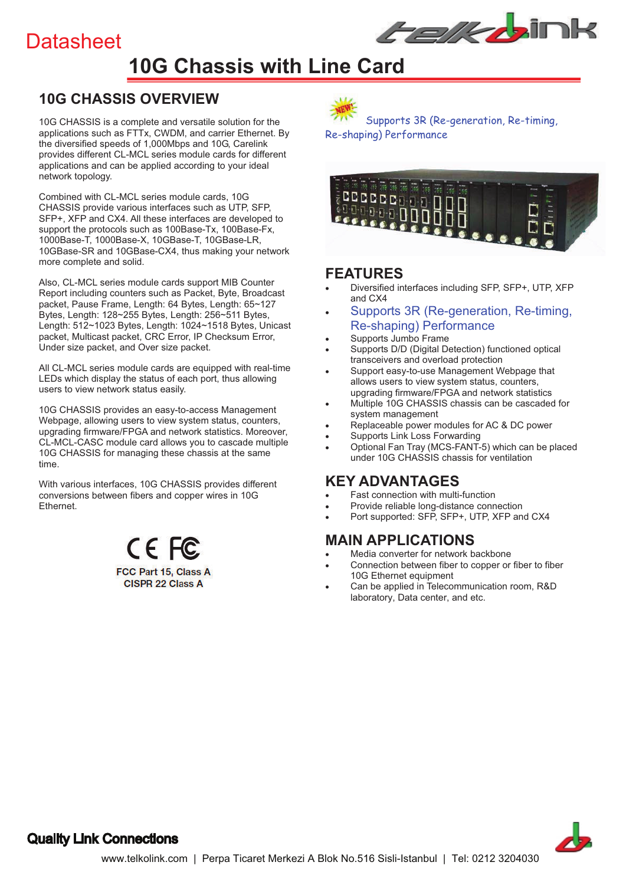# **Datasheet**



# **10G Chassis with Line Card**

## **10G CHASSIS OVERVIEW**

10G CHASSIS is a complete and versatile solution for the applications such as FTTx, CWDM, and carrier Ethernet. By the diversified speeds of 1,000Mbps and 10G, Carelink provides different CL-MCL series module cards for different applications and can be applied according to your ideal network topology.

Combined with CL-MCL series module cards, 10G CHASSIS provide various interfaces such as UTP, SFP, SFP+, XFP and CX4. All these interfaces are developed to support the protocols such as 100Base-Tx, 100Base-Fx, 1000Base-T, 1000Base-X, 10GBase-T, 10GBase-LR, 10GBase-SR and 10GBase-CX4, thus making your network more complete and solid.

Also, CL-MCL series module cards support MIB Counter Report including counters such as Packet, Byte, Broadcast packet, Pause Frame, Length: 64 Bytes, Length: 65~127 Bytes, Length: 128~255 Bytes, Length: 256~511 Bytes, Length: 512~1023 Bytes, Length: 1024~1518 Bytes, Unicast packet, Multicast packet, CRC Error, IP Checksum Error, Under size packet, and Over size packet.

All CL-MCL series module cards are equipped with real-time LEDs which display the status of each port, thus allowing users to view network status easily.

10G CHASSIS provides an easy-to-access Management Webpage, allowing users to view system status, counters, upgrading firmware/FPGA and network statistics. Moreover, CL-MCL-CASC module card allows you to cascade multiple 10G CHASSIS for managing these chassis at the same time.

With various interfaces, 10G CHASSIS provides different conversions between fibers and copper wires in 10G Ethernet.

> CE FC FCC Part 15, Class A **CISPR 22 Class A**



 Supports 3R (Re-generation, Re-timing, Re-shaping) Performance



### **FEATURES**

- ! Diversified interfaces including SFP, SFP+, UTP, XFP and CX4
- Supports 3R (Re-generation, Re-timing, Re-shaping) Performance
- Supports Jumbo Frame
- Supports D/D (Digital Detection) functioned optical transceivers and overload protection
- Support easy-to-use Management Webpage that allows users to view system status, counters, upgrading firmware/FPGA and network statistics
- Multiple 10G CHASSIS chassis can be cascaded for system management
- Replaceable power modules for AC & DC power
- Supports Link Loss Forwarding
- Optional Fan Tray (MCS-FANT-5) which can be placed under 10G CHASSIS chassis for ventilation

### **KEY ADVANTAGES**

- **Fast connection with multi-function**
- Provide reliable long-distance connection
- Port supported: SFP, SFP+, UTP, XFP and CX4

## **MAIN APPLICATIONS**

- Media converter for network backbone
- Connection between fiber to copper or fiber to fiber 10G Ethernet equipment
- ! Can be applied in Telecommunication room, R&D laboratory, Data center, and etc.



### Quality Link Connections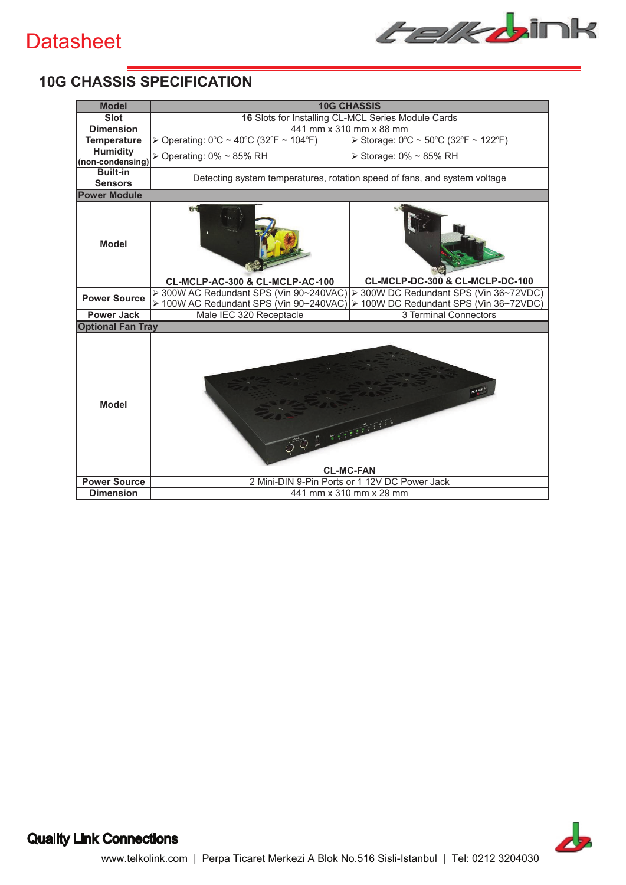# **Datasheet**



# **10G CHASSIS SPECIFICATION**

| <b>Model</b>                        | <b>10G CHASSIS</b>                                                        |                                                               |  |  |  |  |  |  |  |  |
|-------------------------------------|---------------------------------------------------------------------------|---------------------------------------------------------------|--|--|--|--|--|--|--|--|
| <b>Slot</b>                         | 16 Slots for Installing CL-MCL Series Module Cards                        |                                                               |  |  |  |  |  |  |  |  |
| <b>Dimension</b>                    | 441 mm x 310 mm x 88 mm                                                   |                                                               |  |  |  |  |  |  |  |  |
| <b>Temperature</b>                  | > Operating: 0°C ~ 40°C (32°F ~ 104°F)                                    | > Storage: 0°C ~ 50°C (32°F ~ 122°F)                          |  |  |  |  |  |  |  |  |
| <b>Humidity</b><br>(non-condensing) | > Operating: 0% ~ 85% RH                                                  | ≻ Storage: 0% ~ 85% RH                                        |  |  |  |  |  |  |  |  |
| <b>Built-in</b><br><b>Sensors</b>   | Detecting system temperatures, rotation speed of fans, and system voltage |                                                               |  |  |  |  |  |  |  |  |
| <b>Power Module</b>                 |                                                                           |                                                               |  |  |  |  |  |  |  |  |
| <b>Model</b>                        | <b>CL-MCLP-AC-300 &amp; CL-MCLP-AC-100</b>                                | CL-MCLP-DC-300 & CL-MCLP-DC-100                               |  |  |  |  |  |  |  |  |
|                                     | > 300W AC Redundant SPS (Vin 90~240VAC)                                   | > 300W DC Redundant SPS (Vin 36~72VDC)                        |  |  |  |  |  |  |  |  |
| <b>Power Source</b>                 | > 100W AC Redundant SPS (Vin 90~240VAC)                                   | 100W DC Redundant SPS (Vin 36~72VDC)<br>$\blacktriangleright$ |  |  |  |  |  |  |  |  |
| <b>Power Jack</b>                   | Male IEC 320 Receptacle                                                   | 3 Terminal Connectors                                         |  |  |  |  |  |  |  |  |
| <b>Optional Fan Tray</b>            |                                                                           |                                                               |  |  |  |  |  |  |  |  |
| <b>Model</b>                        |                                                                           | $-111111$<br><b>CL-MC-FAN</b>                                 |  |  |  |  |  |  |  |  |
| <b>Power Source</b>                 | 2 Mini-DIN 9-Pin Ports or 1 12V DC Power Jack                             |                                                               |  |  |  |  |  |  |  |  |
| <b>Dimension</b>                    | 441 mm x 310 mm x 29 mm                                                   |                                                               |  |  |  |  |  |  |  |  |



# Quality Link Connections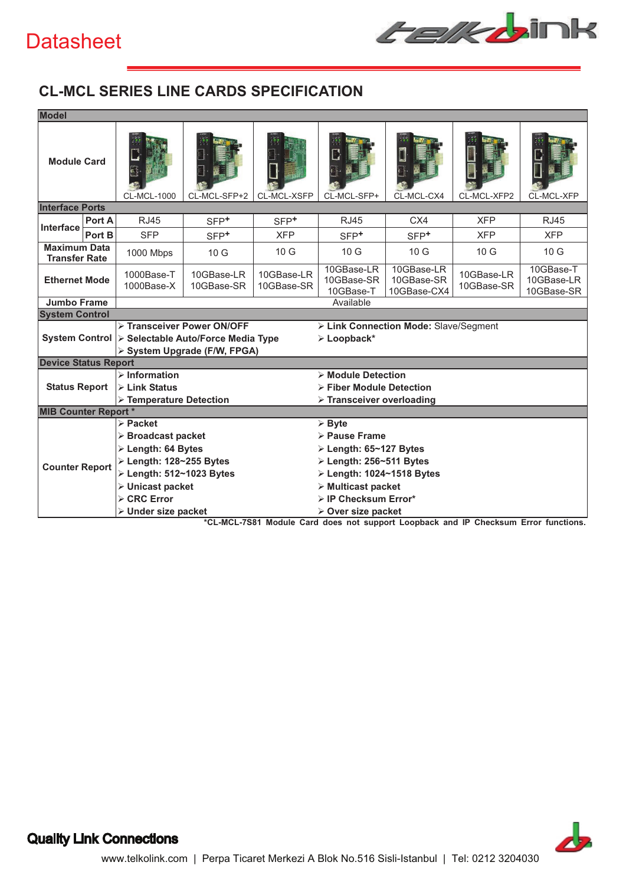# **Datasheet**



# **CL-MCL SERIES LINE CARDS SPECIFICATION**

| <b>Model</b>                                |                                                                                                                                                                                        |                                                                                                        |                          |                          |                                                                                               |                                         |                          |                                       |  |  |
|---------------------------------------------|----------------------------------------------------------------------------------------------------------------------------------------------------------------------------------------|--------------------------------------------------------------------------------------------------------|--------------------------|--------------------------|-----------------------------------------------------------------------------------------------|-----------------------------------------|--------------------------|---------------------------------------|--|--|
| <b>Module Card</b>                          |                                                                                                                                                                                        | <b>CL-MCL-1000</b>                                                                                     | CL-MCL-SFP+2             | CL-MCL-XSFP              | CL-MCL-SFP+                                                                                   | CL-MCL-CX4                              | CL-MCL-XFP2              | CL-MCL-XFP                            |  |  |
| <b>Interface Ports</b>                      |                                                                                                                                                                                        |                                                                                                        |                          |                          |                                                                                               |                                         |                          |                                       |  |  |
| Interface                                   | Port A                                                                                                                                                                                 | <b>RJ45</b>                                                                                            | $SFP+$                   | SFP <sup>+</sup>         | <b>RJ45</b>                                                                                   | C <sub>X4</sub>                         | <b>XFP</b>               | <b>RJ45</b>                           |  |  |
|                                             | Port B                                                                                                                                                                                 | <b>SFP</b>                                                                                             | $SFP+$                   | <b>XFP</b>               | $SFP+$                                                                                        | $SFP+$                                  | <b>XFP</b>               | <b>XFP</b>                            |  |  |
| <b>Maximum Data</b><br><b>Transfer Rate</b> |                                                                                                                                                                                        | 1000 Mbps                                                                                              | 10G                      | 10G                      | 10G                                                                                           | 10G                                     | 10 <sub>G</sub>          | 10 <sub>G</sub>                       |  |  |
| <b>Ethernet Mode</b>                        |                                                                                                                                                                                        | 1000Base-T<br>1000Base-X                                                                               | 10GBase-LR<br>10GBase-SR | 10GBase-LR<br>10GBase-SR | 10GBase-LR<br>10GBase-SR<br>10GBase-T                                                         | 10GBase-LR<br>10GBase-SR<br>10GBase-CX4 | 10GBase-LR<br>10GBase-SR | 10GBase-T<br>10GBase-LR<br>10GBase-SR |  |  |
| <b>Jumbo Frame</b>                          |                                                                                                                                                                                        |                                                                                                        |                          |                          | Available                                                                                     |                                         |                          |                                       |  |  |
| <b>System Control</b>                       |                                                                                                                                                                                        |                                                                                                        |                          |                          |                                                                                               |                                         |                          |                                       |  |  |
|                                             | > Transceiver Power ON/OFF<br>> Link Connection Mode: Slave/Segment<br>System Control > Selectable Auto/Force Media Type<br>$\triangleright$ Loopback*<br>> System Upgrade (F/W, FPGA) |                                                                                                        |                          |                          |                                                                                               |                                         |                          |                                       |  |  |
| <b>Device Status Report</b>                 |                                                                                                                                                                                        |                                                                                                        |                          |                          |                                                                                               |                                         |                          |                                       |  |  |
| <b>Status Report</b>                        |                                                                                                                                                                                        | $\triangleright$ Information<br>$\triangleright$ Link Status<br>$\triangleright$ Temperature Detection |                          |                          | > Module Detection<br>> Fiber Module Detection<br>$\triangleright$ Transceiver overloading    |                                         |                          |                                       |  |  |
| <b>MIB Counter Report *</b>                 |                                                                                                                                                                                        |                                                                                                        |                          |                          |                                                                                               |                                         |                          |                                       |  |  |
|                                             |                                                                                                                                                                                        | $\triangleright$ Packet<br>$\triangleright$ Broadcast packet<br>$\triangleright$ Length: 64 Bytes      |                          |                          | $\triangleright$ Byte<br>> Pause Frame<br>$\triangleright$ Length: 65~127 Bytes               |                                         |                          |                                       |  |  |
| <b>Counter Report</b>                       |                                                                                                                                                                                        | $\triangleright$ Length: 128~255 Bytes<br>≻ Length: 512~1023 Bytes<br>$\triangleright$ Unicast packet  |                          |                          | $\ge$ Length: 256~511 Bytes<br>≻ Length: 1024~1518 Bytes<br>$\triangleright$ Multicast packet |                                         |                          |                                       |  |  |
|                                             |                                                                                                                                                                                        | $\triangleright$ CRC Error<br>> Under size packet                                                      |                          |                          | $\triangleright$ IP Checksum Error*<br>$\triangleright$ Over size packet                      |                                         |                          |                                       |  |  |

**\*CL-MCL-7S81 Module Card does not support Loopback and IP Checksum Error functions.**